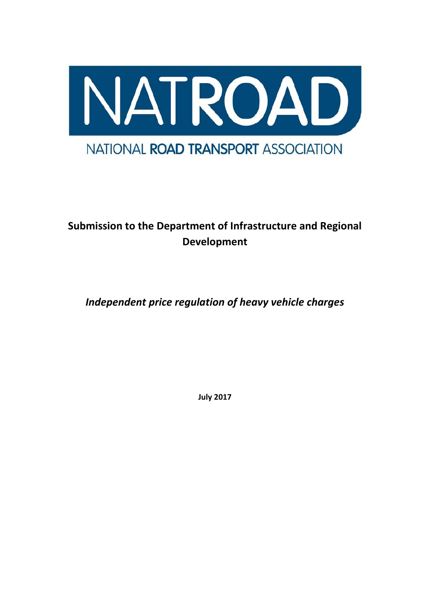

# **Submission to the Department of Infrastructure and Regional Development**

*Independent price regulation of heavy vehicle charges*

**July 2017**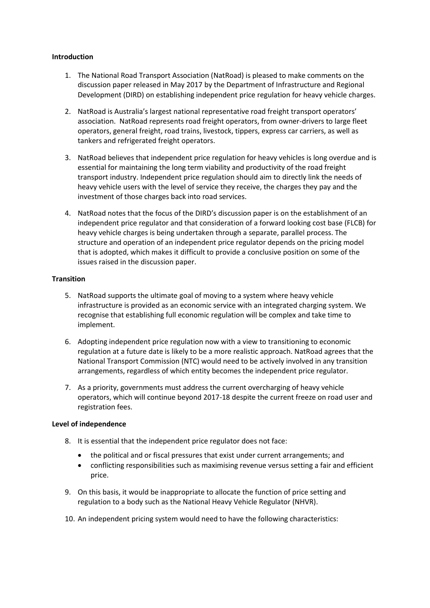# **Introduction**

- 1. The National Road Transport Association (NatRoad) is pleased to make comments on the discussion paper released in May 2017 by the Department of Infrastructure and Regional Development (DIRD) on establishing independent price regulation for heavy vehicle charges.
- 2. NatRoad is Australia's largest national representative road freight transport operators' association. NatRoad represents road freight operators, from owner-drivers to large fleet operators, general freight, road trains, livestock, tippers, express car carriers, as well as tankers and refrigerated freight operators.
- 3. NatRoad believes that independent price regulation for heavy vehicles is long overdue and is essential for maintaining the long term viability and productivity of the road freight transport industry. Independent price regulation should aim to directly link the needs of heavy vehicle users with the level of service they receive, the charges they pay and the investment of those charges back into road services.
- 4. NatRoad notes that the focus of the DIRD's discussion paper is on the establishment of an independent price regulator and that consideration of a forward looking cost base (FLCB) for heavy vehicle charges is being undertaken through a separate, parallel process. The structure and operation of an independent price regulator depends on the pricing model that is adopted, which makes it difficult to provide a conclusive position on some of the issues raised in the discussion paper.

## **Transition**

- 5. NatRoad supports the ultimate goal of moving to a system where heavy vehicle infrastructure is provided as an economic service with an integrated charging system. We recognise that establishing full economic regulation will be complex and take time to implement.
- 6. Adopting independent price regulation now with a view to transitioning to economic regulation at a future date is likely to be a more realistic approach. NatRoad agrees that the National Transport Commission (NTC) would need to be actively involved in any transition arrangements, regardless of which entity becomes the independent price regulator.
- 7. As a priority, governments must address the current overcharging of heavy vehicle operators, which will continue beyond 2017-18 despite the current freeze on road user and registration fees.

# **Level of independence**

- 8. It is essential that the independent price regulator does not face:
	- the political and or fiscal pressures that exist under current arrangements; and
	- conflicting responsibilities such as maximising revenue versus setting a fair and efficient price.
- 9. On this basis, it would be inappropriate to allocate the function of price setting and regulation to a body such as the National Heavy Vehicle Regulator (NHVR).
- 10. An independent pricing system would need to have the following characteristics: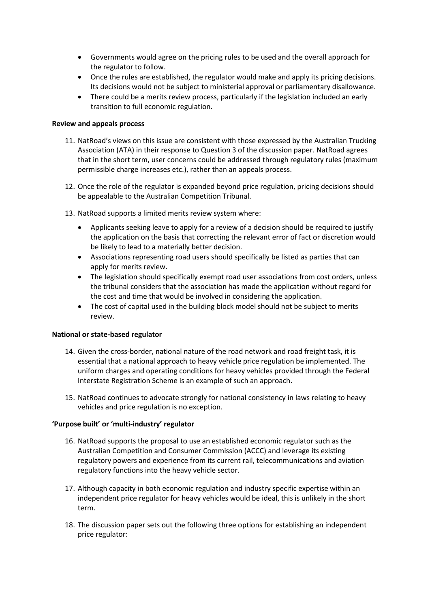- Governments would agree on the pricing rules to be used and the overall approach for the regulator to follow.
- Once the rules are established, the regulator would make and apply its pricing decisions. Its decisions would not be subject to ministerial approval or parliamentary disallowance.
- There could be a merits review process, particularly if the legislation included an early transition to full economic regulation.

# **Review and appeals process**

- 11. NatRoad's views on this issue are consistent with those expressed by the Australian Trucking Association (ATA) in their response to Question 3 of the discussion paper. NatRoad agrees that in the short term, user concerns could be addressed through regulatory rules (maximum permissible charge increases etc.), rather than an appeals process.
- 12. Once the role of the regulator is expanded beyond price regulation, pricing decisions should be appealable to the Australian Competition Tribunal.
- 13. NatRoad supports a limited merits review system where:
	- Applicants seeking leave to apply for a review of a decision should be required to justify the application on the basis that correcting the relevant error of fact or discretion would be likely to lead to a materially better decision.
	- Associations representing road users should specifically be listed as parties that can apply for merits review.
	- The legislation should specifically exempt road user associations from cost orders, unless the tribunal considers that the association has made the application without regard for the cost and time that would be involved in considering the application.
	- The cost of capital used in the building block model should not be subject to merits review.

## **National or state-based regulator**

- 14. Given the cross-border, national nature of the road network and road freight task, it is essential that a national approach to heavy vehicle price regulation be implemented. The uniform charges and operating conditions for heavy vehicles provided through the Federal Interstate Registration Scheme is an example of such an approach.
- 15. NatRoad continues to advocate strongly for national consistency in laws relating to heavy vehicles and price regulation is no exception.

## **'Purpose built' or 'multi-industry' regulator**

- 16. NatRoad supports the proposal to use an established economic regulator such as the Australian Competition and Consumer Commission (ACCC) and leverage its existing regulatory powers and experience from its current rail, telecommunications and aviation regulatory functions into the heavy vehicle sector.
- 17. Although capacity in both economic regulation and industry specific expertise within an independent price regulator for heavy vehicles would be ideal, this is unlikely in the short term.
- 18. The discussion paper sets out the following three options for establishing an independent price regulator: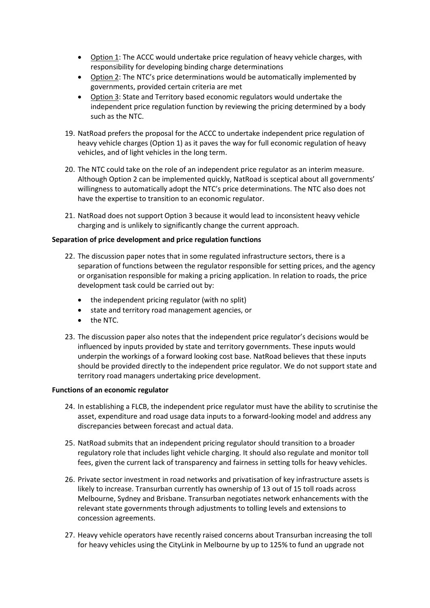- Option 1: The ACCC would undertake price regulation of heavy vehicle charges, with responsibility for developing binding charge determinations
- Option 2: The NTC's price determinations would be automatically implemented by governments, provided certain criteria are met
- Option 3: State and Territory based economic regulators would undertake the independent price regulation function by reviewing the pricing determined by a body such as the NTC.
- 19. NatRoad prefers the proposal for the ACCC to undertake independent price regulation of heavy vehicle charges (Option 1) as it paves the way for full economic regulation of heavy vehicles, and of light vehicles in the long term.
- 20. The NTC could take on the role of an independent price regulator as an interim measure. Although Option 2 can be implemented quickly, NatRoad is sceptical about all governments' willingness to automatically adopt the NTC's price determinations. The NTC also does not have the expertise to transition to an economic regulator.
- 21. NatRoad does not support Option 3 because it would lead to inconsistent heavy vehicle charging and is unlikely to significantly change the current approach.

# **Separation of price development and price regulation functions**

- 22. The discussion paper notes that in some regulated infrastructure sectors, there is a separation of functions between the regulator responsible for setting prices, and the agency or organisation responsible for making a pricing application. In relation to roads, the price development task could be carried out by:
	- the independent pricing regulator (with no split)
	- state and territory road management agencies, or
	- the NTC.
- 23. The discussion paper also notes that the independent price regulator's decisions would be influenced by inputs provided by state and territory governments. These inputs would underpin the workings of a forward looking cost base. NatRoad believes that these inputs should be provided directly to the independent price regulator. We do not support state and territory road managers undertaking price development.

## **Functions of an economic regulator**

- 24. In establishing a FLCB, the independent price regulator must have the ability to scrutinise the asset, expenditure and road usage data inputs to a forward-looking model and address any discrepancies between forecast and actual data.
- 25. NatRoad submits that an independent pricing regulator should transition to a broader regulatory role that includes light vehicle charging. It should also regulate and monitor toll fees, given the current lack of transparency and fairness in setting tolls for heavy vehicles.
- 26. Private sector investment in road networks and privatisation of key infrastructure assets is likely to increase. Transurban currently has ownership of 13 out of 15 toll roads across Melbourne, Sydney and Brisbane. Transurban negotiates network enhancements with the relevant state governments through adjustments to tolling levels and extensions to concession agreements.
- 27. Heavy vehicle operators have recently raised concerns about Transurban increasing the toll for heavy vehicles using the CityLink in Melbourne by up to 125% to fund an upgrade not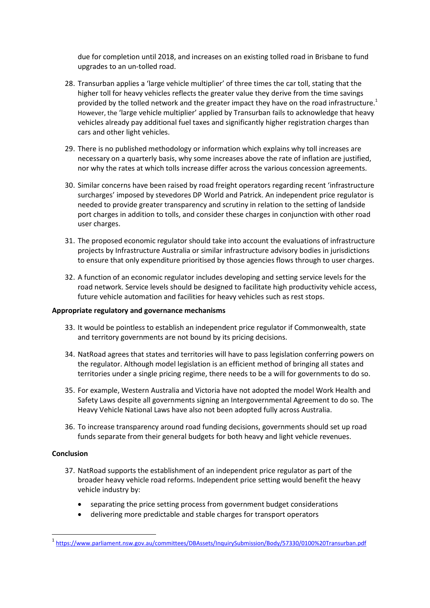due for completion until 2018, and increases on an existing tolled road in Brisbane to fund upgrades to an un-tolled road.

- 28. Transurban applies a 'large vehicle multiplier' of three times the car toll, stating that the higher toll for heavy vehicles reflects the greater value they derive from the time savings provided by the tolled network and the greater impact they have on the road infrastructure.<sup>1</sup> However, the 'large vehicle multiplier' applied by Transurban fails to acknowledge that heavy vehicles already pay additional fuel taxes and significantly higher registration charges than cars and other light vehicles.
- 29. There is no published methodology or information which explains why toll increases are necessary on a quarterly basis, why some increases above the rate of inflation are justified, nor why the rates at which tolls increase differ across the various concession agreements.
- 30. Similar concerns have been raised by road freight operators regarding recent 'infrastructure surcharges' imposed by stevedores DP World and Patrick. An independent price regulator is needed to provide greater transparency and scrutiny in relation to the setting of landside port charges in addition to tolls, and consider these charges in conjunction with other road user charges.
- 31. The proposed economic regulator should take into account the evaluations of infrastructure projects by Infrastructure Australia or similar infrastructure advisory bodies in jurisdictions to ensure that only expenditure prioritised by those agencies flows through to user charges.
- 32. A function of an economic regulator includes developing and setting service levels for the road network. Service levels should be designed to facilitate high productivity vehicle access, future vehicle automation and facilities for heavy vehicles such as rest stops.

## **Appropriate regulatory and governance mechanisms**

- 33. It would be pointless to establish an independent price regulator if Commonwealth, state and territory governments are not bound by its pricing decisions.
- 34. NatRoad agrees that states and territories will have to pass legislation conferring powers on the regulator. Although model legislation is an efficient method of bringing all states and territories under a single pricing regime, there needs to be a will for governments to do so.
- 35. For example, Western Australia and Victoria have not adopted the model Work Health and Safety Laws despite all governments signing an Intergovernmental Agreement to do so. The Heavy Vehicle National Laws have also not been adopted fully across Australia.
- 36. To increase transparency around road funding decisions, governments should set up road funds separate from their general budgets for both heavy and light vehicle revenues.

## **Conclusion**

**.** 

- 37. NatRoad supports the establishment of an independent price regulator as part of the broader heavy vehicle road reforms. Independent price setting would benefit the heavy vehicle industry by:
	- separating the price setting process from government budget considerations
	- delivering more predictable and stable charges for transport operators

<sup>1</sup> <https://www.parliament.nsw.gov.au/committees/DBAssets/InquirySubmission/Body/57330/0100%20Transurban.pdf>